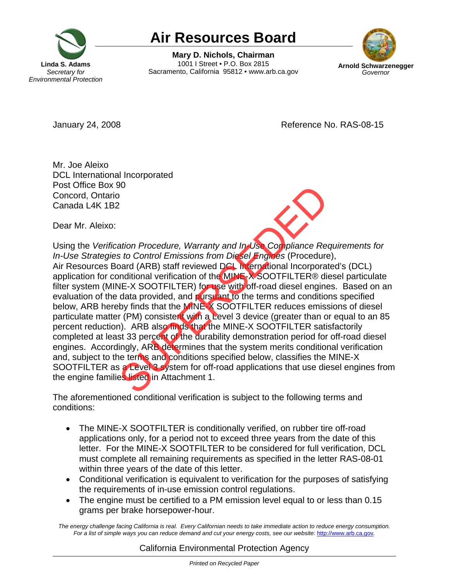

## **Air Resources Board**<br>Mary D. Nichols, Chairman

1001 I Street • P.O. Box 2815 Sacramento, California 95812 • www.arb.ca.gov



January 24, 2008 **Accord 2008** Reference No. RAS-08-15

Mr. Joe Aleixo DCL International Incorporated Post Office Box 90 Concord, Ontario Canada L4K 1B2

Dear Mr. Aleixo:



Using the *Verification Procedure, Warranty and In-Use Compliance Requirements for In-Use Strategies to Control Emissions from Diesel Engines* (Procedure), Air Resources Board (ARB) staff reviewed DCL International Incorporated's (DCL) application for conditional verification of the MINE-X SOOTFILTER® diesel particulate filter system (MINE-X SOOTFILTER) for use with off-road diesel engines. Based on an evaluation of the data provided, and pursuant to the terms and conditions specified below, ARB hereby finds that the MINE-X SOOTFILTER reduces emissions of diesel particulate matter (PM) consistent with a Level 3 device (greater than or equal to an 85 percent reduction). ARB also finds that the MINE-X SOOTFILTER satisfactorily completed at least 33 percent of the durability demonstration period for off-road diesel engines. Accordingly, ARB determines that the system merits conditional verification and, subject to the terms and conditions specified below, classifies the MINE-X SOOTFILTER as a Level 3 system for off-road applications that use diesel engines from the engine families listed in Attachment 1. <sup>20</sup><br>
2000<br>
2000<br>
2000<br>
2000<br>
2000<br>
2000<br>
2000<br>
2000<br>
2000<br>
2000<br>
2000<br>
2000<br>
2000<br>
2000<br>
2000<br>
2000<br>
2000<br>
2000<br>
2000<br>
2000<br>
2000<br>
2000<br>
2000<br>
2000<br>
2000<br>
2000<br>
2000<br>
2000<br>
2000<br>
2000<br>
2000<br>
2000<br>
2000<br>
2000<br>
2000<br>
2000<br>

The aforementioned conditional verification is subject to the following terms and conditions:

- The MINE-X SOOTFILTER is conditionally verified, on rubber tire off-road applications only, for a period not to exceed three years from the date of this letter. For the MINE-X SOOTFILTER to be considered for full verification, DCL must complete all remaining requirements as specified in the letter RAS-08-01 within three years of the date of this letter.
- Conditional verification is equivalent to verification for the purposes of satisfying the requirements of in-use emission control regulations.
- The engine must be certified to a PM emission level equal to or less than 0.15 grams per brake horsepower-hour.

*The energy challenge facing California is real. Every Californian needs to take immediate action to reduce energy consumption. For a list of simple ways you can reduce demand and cut your energy costs, see our website:* http://www.arb.ca.gov*.* 

## California Environmental Protection Agency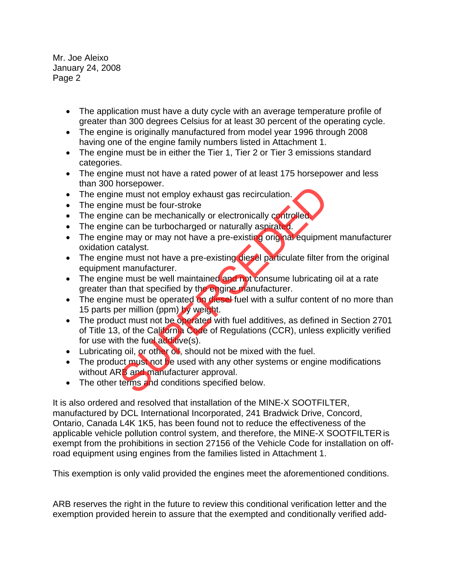- The application must have a duty cycle with an average temperature profile of greater than 300 degrees Celsius for at least 30 percent of the operating cycle.
- The engine is originally manufactured from model year 1996 through 2008 having one of the engine family numbers listed in Attachment 1.
- The engine must be in either the Tier 1, Tier 2 or Tier 3 emissions standard categories.
- The engine must not have a rated power of at least 175 horsepower and less than 300 horsepower.
- The engine must not employ exhaust gas recirculation.
- The engine must be four-stroke
- The engine can be mechanically or electronically controlled
- The engine can be turbocharged or naturally aspirated.
- The engine may or may not have a pre-existing original equipment manufacturer oxidation catalyst.
- The engine must not have a pre-existing diesel particulate filter from the original equipment manufacturer.
- The engine must be well maintained and not consume lubricating oil at a rate greater than that specified by the engine manufacturer.
- The engine must be operated on diesel fuel with a sulfur content of no more than 15 parts per million (ppm) by weight.
- The product must not be operated with fuel additives, as defined in Section 2701 of Title 13, of the California Code of Regulations (CCR), unless explicitly verified for use with the fuel additive(s). busepower.<br>
e must not employ exhaust gas recirculation.<br>
e must be four-stroke<br>
e can be mechanically or electronically controlled<br>
e can be turbocharged or naturally aspirated.<br>
e must not have a pre-existing original eq
- Lubricating oil, or other oil, should not be mixed with the fuel.
- The product must not be used with any other systems or engine modifications without ARB and manufacturer approval.
- The other terms and conditions specified below.

It is also ordered and resolved that installation of the MINE-X SOOTFILTER, manufactured by DCL International Incorporated, 241 Bradwick Drive, Concord, Ontario, Canada L4K 1K5, has been found not to reduce the effectiveness of the applicable vehicle pollution control system, and therefore, the MINE-X SOOTFILTER is exempt from the prohibitions in section 27156 of the Vehicle Code for installation on offroad equipment using engines from the families listed in Attachment 1.

This exemption is only valid provided the engines meet the aforementioned conditions.

ARB reserves the right in the future to review this conditional verification letter and the exemption provided herein to assure that the exempted and conditionally verified add-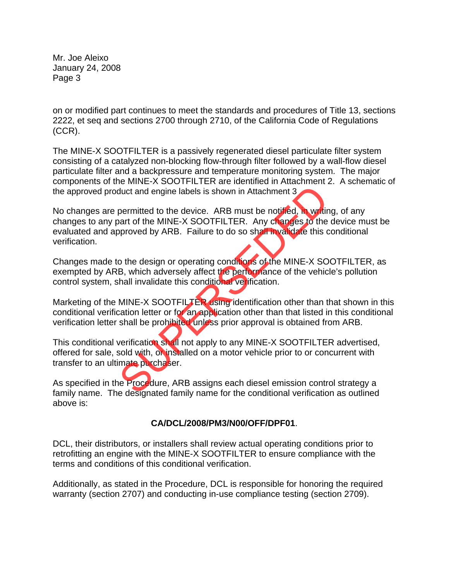on or modified part continues to meet the standards and procedures of Title 13, sections 2222, et seq and sections 2700 through 2710, of the California Code of Regulations (CCR).

The MINE-X SOOTFILTER is a passively regenerated diesel particulate filter system consisting of a catalyzed non-blocking flow-through filter followed by a wall-flow diesel particulate filter and a backpressure and temperature monitoring system. The major components of the MINE-X SOOTFILTER are identified in Attachment 2. A schematic of the approved product and engine labels is shown in Attachment 3

No changes are permitted to the device. ARB must be notified, in writing, of any changes to any part of the MINE-X SOOTFILTER. Any changes to the device must be evaluated and approved by ARB. Failure to do so shall invalidate this conditional verification. duct and engine labels is shown in Attachment 3<br>permitted to the device. ARB must be notified, in writing and of the MINE-X SOOTFILTER. Any changes to the<br>pproved by ARB. Failure to do so shall invalidate this correct to d

Changes made to the design or operating conditions of the MINE-X SOOTFILTER, as exempted by ARB, which adversely affect the performance of the vehicle's pollution control system, shall invalidate this conditional verification.

Marketing of the MINE-X SOOTFILTER using identification other than that shown in this conditional verification letter or for an application other than that listed in this conditional verification letter shall be prohibited unless prior approval is obtained from ARB.

This conditional verification shall not apply to any MINE-X SOOTFILTER advertised, offered for sale, sold with, or installed on a motor vehicle prior to or concurrent with transfer to an ultimate purchaser.

As specified in the Procedure, ARB assigns each diesel emission control strategy a family name. The designated family name for the conditional verification as outlined above is:

## **CA/DCL/2008/PM3/N00/OFF/DPF01**.

DCL, their distributors, or installers shall review actual operating conditions prior to retrofitting an engine with the MINE-X SOOTFILTER to ensure compliance with the terms and conditions of this conditional verification.

Additionally, as stated in the Procedure, DCL is responsible for honoring the required warranty (section 2707) and conducting in-use compliance testing (section 2709).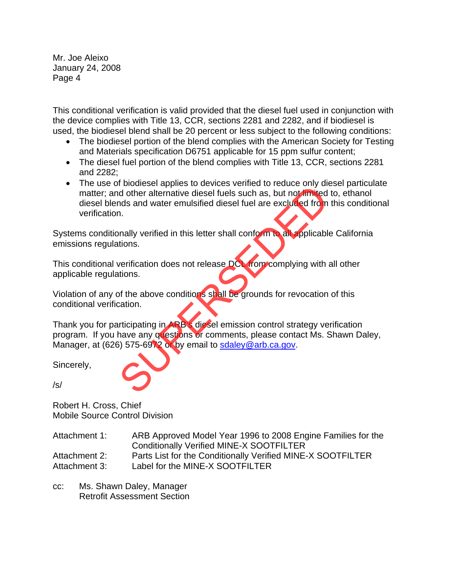This conditional verification is valid provided that the diesel fuel used in conjunction with the device complies with Title 13, CCR, sections 2281 and 2282, and if biodiesel is used, the biodiesel blend shall be 20 percent or less subject to the following conditions:

- The biodiesel portion of the blend complies with the American Society for Testing and Materials specification D6751 applicable for 15 ppm sulfur content;
- The diesel fuel portion of the blend complies with Title 13, CCR, sections 2281 and 2282;
- The use of biodiesel applies to devices verified to reduce only diesel particulate matter; and other alternative diesel fuels such as, but not limited to, ethanol diesel blends and water emulsified diesel fuel are excluded from this conditional verification. Function of the alternative diesel fuels such as, but not imited<br>indistant and water emulsified diesel fuels such as, but not imited<br>inds and water emulsified diesel fuels such as, but not imited<br>into an<br>inally verificatio

Systems conditionally verified in this letter shall conform to all applicable California emissions regulations.

This conditional verification does not release DCL from complying with all other applicable regulations.

Violation of any of the above conditions shall be grounds for revocation of this conditional verification.

Thank you for participating in ARB's diesel emission control strategy verification program. If you have any questions or comments, please contact Ms. Shawn Daley, Manager, at (626) 575-6972 or by email to sdaley@arb.ca.gov.

Sincerely,

/s/

Robert H. Cross, Chief Mobile Source Control Division

| Attachment 1: | ARB Approved Model Year 1996 to 2008 Engine Families for the |
|---------------|--------------------------------------------------------------|
|               | <b>Conditionally Verified MINE-X SOOTFILTER</b>              |
| Attachment 2: | Parts List for the Conditionally Verified MINE-X SOOTFILTER  |
| Attachment 3: | Label for the MINE-X SOOTFILTER                              |

cc: Ms. Shawn Daley, Manager Retrofit Assessment Section